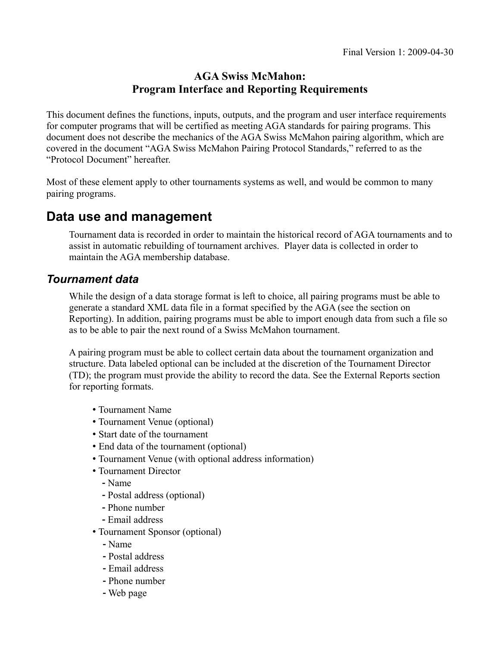### **AGA Swiss McMahon: Program Interface and Reporting Requirements**

This document defines the functions, inputs, outputs, and the program and user interface requirements for computer programs that will be certified as meeting AGA standards for pairing programs. This document does not describe the mechanics of the AGA Swiss McMahon pairing algorithm, which are covered in the document "AGA Swiss McMahon Pairing Protocol Standards," referred to as the "Protocol Document" hereafter.

Most of these element apply to other tournaments systems as well, and would be common to many pairing programs.

## **Data use and management**

Tournament data is recorded in order to maintain the historical record of AGA tournaments and to assist in automatic rebuilding of tournament archives. Player data is collected in order to maintain the AGA membership database.

### *Tournament data*

While the design of a data storage format is left to choice, all pairing programs must be able to generate a standard XML data file in a format specified by the AGA (see the section on Reporting). In addition, pairing programs must be able to import enough data from such a file so as to be able to pair the next round of a Swiss McMahon tournament.

A pairing program must be able to collect certain data about the tournament organization and structure. Data labeled optional can be included at the discretion of the Tournament Director (TD); the program must provide the ability to record the data. See the External Reports section for reporting formats.

- Tournament Name
- Tournament Venue (optional)
- Start date of the tournament
- End data of the tournament (optional)
- Tournament Venue (with optional address information)
- Tournament Director
	- Name
	- Postal address (optional)
	- Phone number
	- Email address
- Tournament Sponsor (optional)
	- Name
	- Postal address
	- Email address
	- Phone number
	- Web page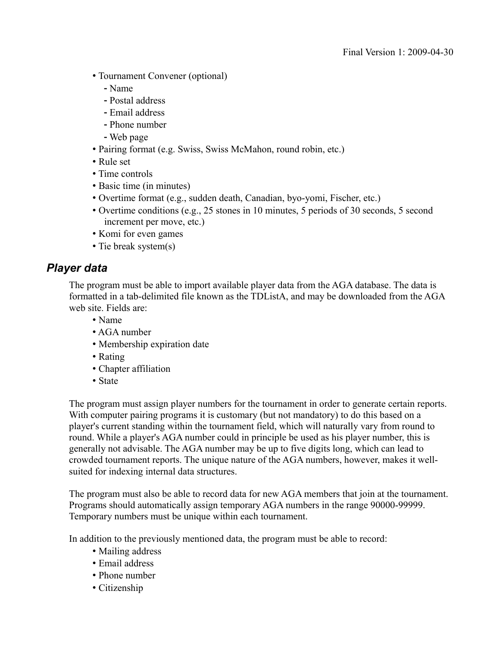- Tournament Convener (optional)
	- Name
	- Postal address
	- Email address
	- Phone number
	- Web page
- Pairing format (e.g. Swiss, Swiss McMahon, round robin, etc.)
- Rule set
- Time controls
- Basic time (in minutes)
- Overtime format (e.g., sudden death, Canadian, byo-yomi, Fischer, etc.)
- Overtime conditions (e.g., 25 stones in 10 minutes, 5 periods of 30 seconds, 5 second increment per move, etc.)
- Komi for even games
- Tie break system(s)

### *Player data*

The program must be able to import available player data from the AGA database. The data is formatted in a tab-delimited file known as the TDListA, and may be downloaded from the AGA web site. Fields are:

- Name
- AGA number
- Membership expiration date
- Rating
- Chapter affiliation
- State

The program must assign player numbers for the tournament in order to generate certain reports. With computer pairing programs it is customary (but not mandatory) to do this based on a player's current standing within the tournament field, which will naturally vary from round to round. While a player's AGA number could in principle be used as his player number, this is generally not advisable. The AGA number may be up to five digits long, which can lead to crowded tournament reports. The unique nature of the AGA numbers, however, makes it wellsuited for indexing internal data structures.

The program must also be able to record data for new AGA members that join at the tournament. Programs should automatically assign temporary AGA numbers in the range 90000-99999. Temporary numbers must be unique within each tournament.

In addition to the previously mentioned data, the program must be able to record:

- Mailing address
- Email address
- Phone number
- Citizenship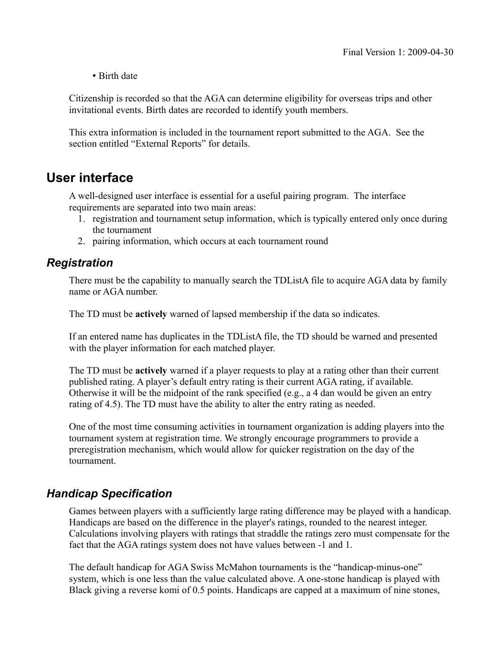#### • Birth date

Citizenship is recorded so that the AGA can determine eligibility for overseas trips and other invitational events. Birth dates are recorded to identify youth members.

This extra information is included in the tournament report submitted to the AGA. See the section entitled "External Reports" for details.

## **User interface**

A well-designed user interface is essential for a useful pairing program. The interface requirements are separated into two main areas:

- 1. registration and tournament setup information, which is typically entered only once during the tournament
- 2. pairing information, which occurs at each tournament round

### *Registration*

There must be the capability to manually search the TDListA file to acquire AGA data by family name or AGA number.

The TD must be **actively** warned of lapsed membership if the data so indicates.

If an entered name has duplicates in the TDListA file, the TD should be warned and presented with the player information for each matched player.

The TD must be **actively** warned if a player requests to play at a rating other than their current published rating. A player's default entry rating is their current AGA rating, if available. Otherwise it will be the midpoint of the rank specified (e.g., a 4 dan would be given an entry rating of 4.5). The TD must have the ability to alter the entry rating as needed.

One of the most time consuming activities in tournament organization is adding players into the tournament system at registration time. We strongly encourage programmers to provide a preregistration mechanism, which would allow for quicker registration on the day of the tournament.

### *Handicap Specification*

Games between players with a sufficiently large rating difference may be played with a handicap. Handicaps are based on the difference in the player's ratings, rounded to the nearest integer. Calculations involving players with ratings that straddle the ratings zero must compensate for the fact that the AGA ratings system does not have values between -1 and 1.

The default handicap for AGA Swiss McMahon tournaments is the "handicap-minus-one" system, which is one less than the value calculated above. A one-stone handicap is played with Black giving a reverse komi of 0.5 points. Handicaps are capped at a maximum of nine stones,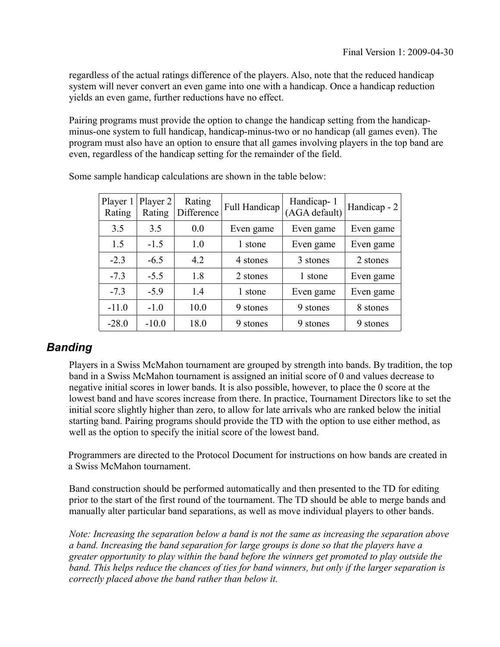regardless of the actual ratings difference of the players. Also, note that the reduced handicap system will never convert an even game into one with a handicap. Once a handicap reduction yields an even game, further reductions have no effect.

Pairing programs must provide the option to change the handicap setting from the handicapminus-one system to full handicap, handicap-minus-two or no handicap (all games even). The program must also have an option to ensure that all games involving players in the top band are even, regardless of the handicap setting for the remainder of the field.

| Player 1<br>Rating | Player 2<br>Rating | Rating<br>Difference | Handicap-1<br>Full Handicap<br>(AGA default) |           | Handicap - 2 |
|--------------------|--------------------|----------------------|----------------------------------------------|-----------|--------------|
| 3.5                | 3.5                | 0.0                  | Even game                                    | Even game | Even game    |
| 1.5                | $-1.5$             | 1.0                  | 1 stone                                      | Even game | Even game    |
| $-2.3$             | $-6.5$             | 4.2                  | 4 stones                                     | 3 stones  | 2 stones     |
| $-7.3$             | $-5.5$             | 1.8                  | 2 stones                                     | 1 stone   | Even game    |
| $-7.3$             | $-5.9$             | 1.4                  | 1 stone                                      | Even game | Even game    |
| $-11.0$            | $-1.0$             | 10.0                 | 9 stones                                     | 9 stones  | 8 stones     |
| $-28.0$            | $-10.0$            | 18.0                 | 9 stones                                     | 9 stones  | 9 stones     |

Some sample handicap calculations are shown in the table below:

### *Banding*

Players in a Swiss McMahon tournament are grouped by strength into bands. By tradition, the top band in a Swiss McMahon tournament is assigned an initial score of 0 and values decrease to negative initial scores in lower bands. It is also possible, however, to place the 0 score at the lowest band and have scores increase from there. In practice, Tournament Directors like to set the initial score slightly higher than zero, to allow for late arrivals who are ranked below the initial starting band. Pairing programs should provide the TD with the option to use either method, as well as the option to specify the initial score of the lowest band.

Programmers are directed to the Protocol Document for instructions on how bands are created in a Swiss McMahon tournament.

Band construction should be performed automatically and then presented to the TD for editing prior to the start of the first round of the tournament. The TD should be able to merge bands and manually alter particular band separations, as well as move individual players to other bands.

*Note: Increasing the separation below a band is not the same as increasing the separation above a band. Increasing the band separation for large groups is done so that the players have a greater opportunity to play within the band before the winners get promoted to play outside the band. This helps reduce the chances of ties for band winners, but only if the larger separation is correctly placed above the band rather than below it.*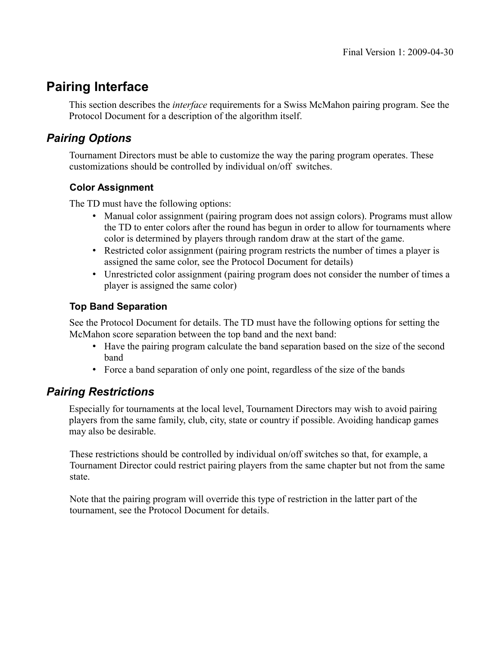# **Pairing Interface**

This section describes the *interface* requirements for a Swiss McMahon pairing program. See the Protocol Document for a description of the algorithm itself.

## *Pairing Options*

Tournament Directors must be able to customize the way the paring program operates. These customizations should be controlled by individual on/off switches.

### **Color Assignment**

The TD must have the following options:

- Manual color assignment (pairing program does not assign colors). Programs must allow the TD to enter colors after the round has begun in order to allow for tournaments where color is determined by players through random draw at the start of the game.
- Restricted color assignment (pairing program restricts the number of times a player is assigned the same color, see the Protocol Document for details)
- Unrestricted color assignment (pairing program does not consider the number of times a player is assigned the same color)

#### **Top Band Separation**

See the Protocol Document for details. The TD must have the following options for setting the McMahon score separation between the top band and the next band:

- Have the pairing program calculate the band separation based on the size of the second band
- Force a band separation of only one point, regardless of the size of the bands

### *Pairing Restrictions*

Especially for tournaments at the local level, Tournament Directors may wish to avoid pairing players from the same family, club, city, state or country if possible. Avoiding handicap games may also be desirable.

These restrictions should be controlled by individual on/off switches so that, for example, a Tournament Director could restrict pairing players from the same chapter but not from the same state.

Note that the pairing program will override this type of restriction in the latter part of the tournament, see the Protocol Document for details.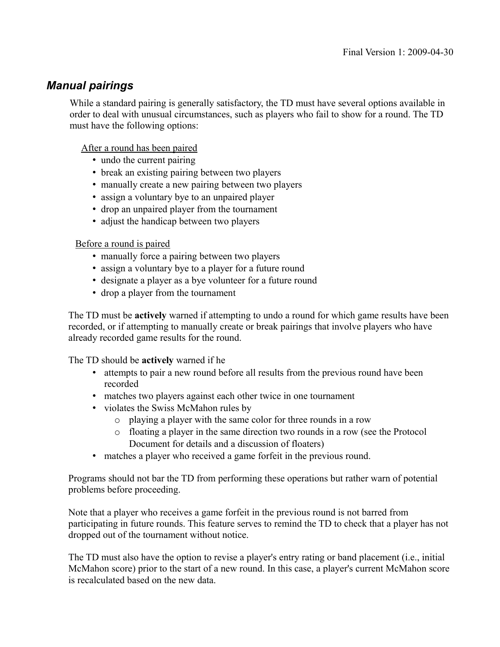### *Manual pairings*

While a standard pairing is generally satisfactory, the TD must have several options available in order to deal with unusual circumstances, such as players who fail to show for a round. The TD must have the following options:

After a round has been paired

- undo the current pairing
- break an existing pairing between two players
- manually create a new pairing between two players
- assign a voluntary bye to an unpaired player
- drop an unpaired player from the tournament
- adjust the handicap between two players

Before a round is paired

- manually force a pairing between two players
- assign a voluntary bye to a player for a future round
- designate a player as a bye volunteer for a future round
- drop a player from the tournament

The TD must be **actively** warned if attempting to undo a round for which game results have been recorded, or if attempting to manually create or break pairings that involve players who have already recorded game results for the round.

The TD should be **actively** warned if he

- attempts to pair a new round before all results from the previous round have been recorded
- matches two players against each other twice in one tournament
- violates the Swiss McMahon rules by
	- o playing a player with the same color for three rounds in a row
	- o floating a player in the same direction two rounds in a row (see the Protocol Document for details and a discussion of floaters)
- matches a player who received a game forfeit in the previous round.

Programs should not bar the TD from performing these operations but rather warn of potential problems before proceeding.

Note that a player who receives a game forfeit in the previous round is not barred from participating in future rounds. This feature serves to remind the TD to check that a player has not dropped out of the tournament without notice.

The TD must also have the option to revise a player's entry rating or band placement (i.e., initial McMahon score) prior to the start of a new round. In this case, a player's current McMahon score is recalculated based on the new data.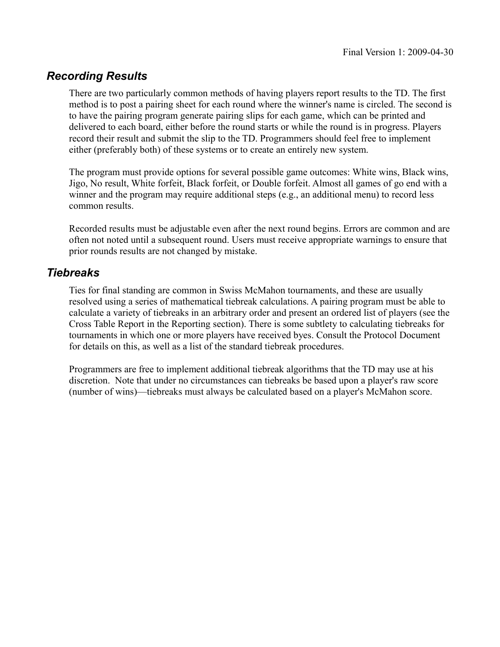### *Recording Results*

There are two particularly common methods of having players report results to the TD. The first method is to post a pairing sheet for each round where the winner's name is circled. The second is to have the pairing program generate pairing slips for each game, which can be printed and delivered to each board, either before the round starts or while the round is in progress. Players record their result and submit the slip to the TD. Programmers should feel free to implement either (preferably both) of these systems or to create an entirely new system.

The program must provide options for several possible game outcomes: White wins, Black wins, Jigo, No result, White forfeit, Black forfeit, or Double forfeit. Almost all games of go end with a winner and the program may require additional steps (e.g., an additional menu) to record less common results.

Recorded results must be adjustable even after the next round begins. Errors are common and are often not noted until a subsequent round. Users must receive appropriate warnings to ensure that prior rounds results are not changed by mistake.

### *Tiebreaks*

Ties for final standing are common in Swiss McMahon tournaments, and these are usually resolved using a series of mathematical tiebreak calculations. A pairing program must be able to calculate a variety of tiebreaks in an arbitrary order and present an ordered list of players (see the Cross Table Report in the Reporting section). There is some subtlety to calculating tiebreaks for tournaments in which one or more players have received byes. Consult the Protocol Document for details on this, as well as a list of the standard tiebreak procedures.

Programmers are free to implement additional tiebreak algorithms that the TD may use at his discretion. Note that under no circumstances can tiebreaks be based upon a player's raw score (number of wins)—tiebreaks must always be calculated based on a player's McMahon score.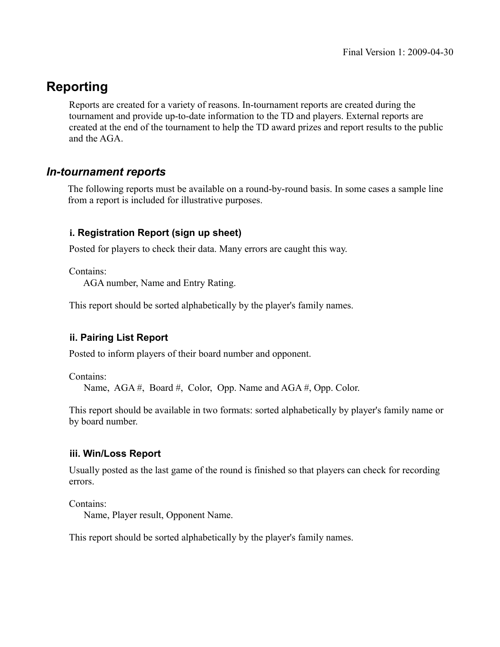# **Reporting**

Reports are created for a variety of reasons. In-tournament reports are created during the tournament and provide up-to-date information to the TD and players. External reports are created at the end of the tournament to help the TD award prizes and report results to the public and the AGA.

### *In-tournament reports*

The following reports must be available on a round-by-round basis. In some cases a sample line from a report is included for illustrative purposes.

### **i. Registration Report (sign up sheet)**

Posted for players to check their data. Many errors are caught this way.

Contains:

AGA number, Name and Entry Rating.

This report should be sorted alphabetically by the player's family names.

#### **ii. Pairing List Report**

Posted to inform players of their board number and opponent.

Contains:

Name, AGA #, Board #, Color, Opp. Name and AGA #, Opp. Color.

This report should be available in two formats: sorted alphabetically by player's family name or by board number.

#### **iii. Win/Loss Report**

Usually posted as the last game of the round is finished so that players can check for recording errors.

Contains:

Name, Player result, Opponent Name.

This report should be sorted alphabetically by the player's family names.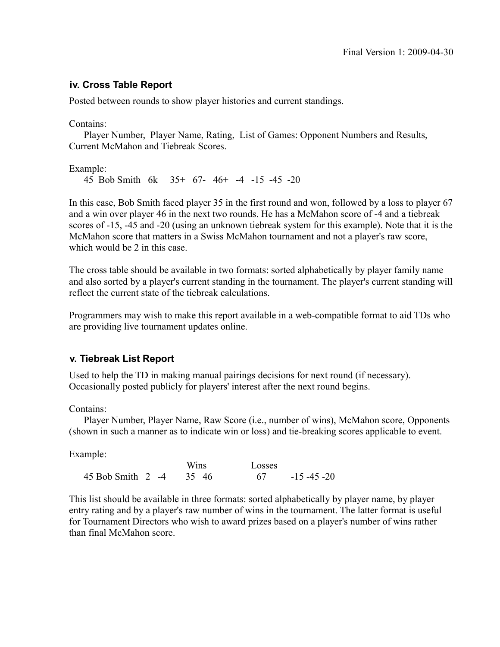#### **iv. Cross Table Report**

Posted between rounds to show player histories and current standings.

Contains:

 Player Number, Player Name, Rating, List of Games: Opponent Numbers and Results, Current McMahon and Tiebreak Scores.

Example:

45 Bob Smith 6k 35+ 67- 46+ -4 -15 -45 -20

In this case, Bob Smith faced player 35 in the first round and won, followed by a loss to player 67 and a win over player 46 in the next two rounds. He has a McMahon score of -4 and a tiebreak scores of -15, -45 and -20 (using an unknown tiebreak system for this example). Note that it is the McMahon score that matters in a Swiss McMahon tournament and not a player's raw score, which would be 2 in this case.

The cross table should be available in two formats: sorted alphabetically by player family name and also sorted by a player's current standing in the tournament. The player's current standing will reflect the current state of the tiebreak calculations.

Programmers may wish to make this report available in a web-compatible format to aid TDs who are providing live tournament updates online.

#### **v. Tiebreak List Report**

Used to help the TD in making manual pairings decisions for next round (if necessary). Occasionally posted publicly for players' interest after the next round begins.

Contains:

 Player Number, Player Name, Raw Score (i.e., number of wins), McMahon score, Opponents (shown in such a manner as to indicate win or loss) and tie-breaking scores applicable to event.

Example:

|                         | <b>Wins</b> | Losses |                 |
|-------------------------|-------------|--------|-----------------|
| 45 Bob Smith 2 -4 35 46 |             | -67    | $-15 - 45 - 20$ |

This list should be available in three formats: sorted alphabetically by player name, by player entry rating and by a player's raw number of wins in the tournament. The latter format is useful for Tournament Directors who wish to award prizes based on a player's number of wins rather than final McMahon score.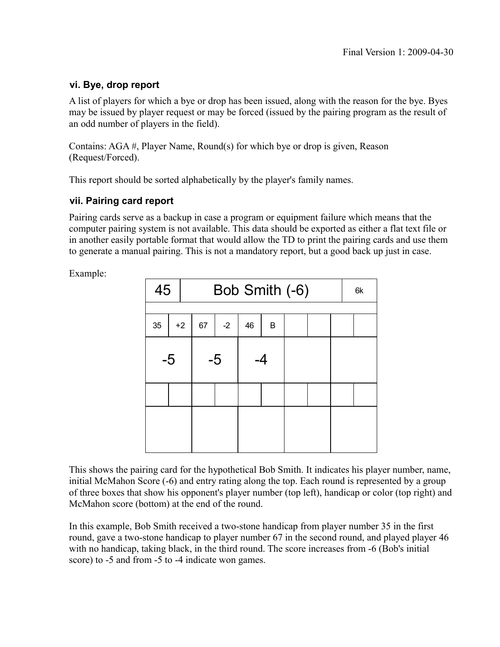#### **vi. Bye, drop report**

A list of players for which a bye or drop has been issued, along with the reason for the bye. Byes may be issued by player request or may be forced (issued by the pairing program as the result of an odd number of players in the field).

Contains: AGA #, Player Name, Round(s) for which bye or drop is given, Reason (Request/Forced).

This report should be sorted alphabetically by the player's family names.

#### **vii. Pairing card report**

Pairing cards serve as a backup in case a program or equipment failure which means that the computer pairing system is not available. This data should be exported as either a flat text file or in another easily portable format that would allow the TD to print the pairing cards and use them to generate a manual pairing. This is not a mandatory report, but a good back up just in case.

Example:

| 45   |      | Bob Smith (-6) |      |      |    |    |  |  | 6k |  |
|------|------|----------------|------|------|----|----|--|--|----|--|
|      |      |                |      |      |    |    |  |  |    |  |
| 35   | $+2$ |                | 67   | $-2$ | 46 | B  |  |  |    |  |
| $-5$ |      |                | $-5$ |      |    | -4 |  |  |    |  |
|      |      |                |      |      |    |    |  |  |    |  |
|      |      |                |      |      |    |    |  |  |    |  |

This shows the pairing card for the hypothetical Bob Smith. It indicates his player number, name, initial McMahon Score (-6) and entry rating along the top. Each round is represented by a group of three boxes that show his opponent's player number (top left), handicap or color (top right) and McMahon score (bottom) at the end of the round.

In this example, Bob Smith received a two-stone handicap from player number 35 in the first round, gave a two-stone handicap to player number 67 in the second round, and played player 46 with no handicap, taking black, in the third round. The score increases from -6 (Bob's initial score) to -5 and from -5 to -4 indicate won games.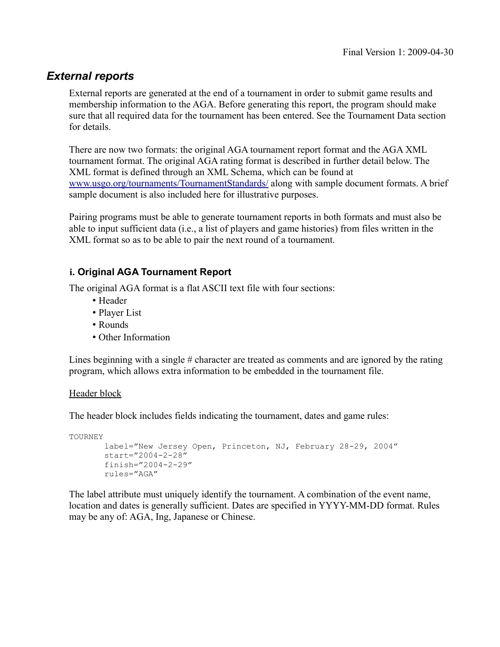### *External reports*

External reports are generated at the end of a tournament in order to submit game results and membership information to the AGA. Before generating this report, the program should make sure that all required data for the tournament has been entered. See the Tournament Data section for details.

There are now two formats: the original AGA tournament report format and the AGA XML tournament format. The original AGA rating format is described in further detail below. The XML format is defined through an XML Schema, which can be found at [www.usgo.org/tournaments/TournamentStandards/](http://www.usgo.org/tournaments/TournamentStandards/) along with sample document formats. A brief sample document is also included here for illustrative purposes.

Pairing programs must be able to generate tournament reports in both formats and must also be able to input sufficient data (i.e., a list of players and game histories) from files written in the XML format so as to be able to pair the next round of a tournament.

#### **i. Original AGA Tournament Report**

The original AGA format is a flat ASCII text file with four sections:

- Header
- Player List
- Rounds
- Other Information

Lines beginning with a single # character are treated as comments and are ignored by the rating program, which allows extra information to be embedded in the tournament file.

#### Header block

The header block includes fields indicating the tournament, dates and game rules:

TOURNEY

```
label="New Jersey Open, Princeton, NJ, February 28-29, 2004"
start="2004-2-28"
finish="2004-2-29"
rules="AGA"
```
The label attribute must uniquely identify the tournament. A combination of the event name, location and dates is generally sufficient. Dates are specified in YYYY-MM-DD format. Rules may be any of: AGA, Ing, Japanese or Chinese.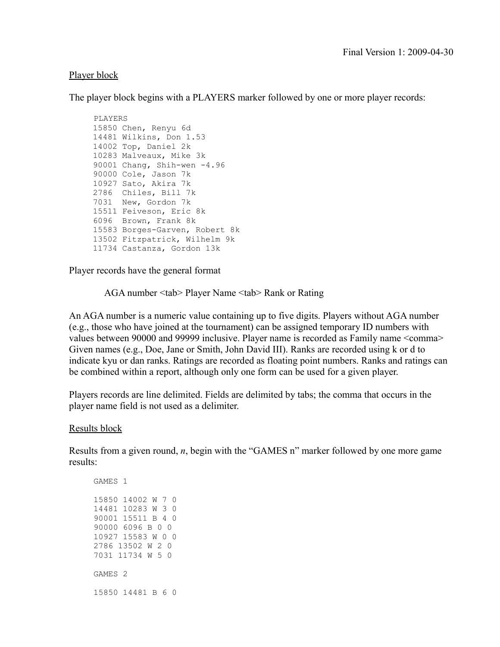#### Player block

The player block begins with a PLAYERS marker followed by one or more player records:

```
 PLAYERS
15850 Chen, Renyu 6d
14481 Wilkins, Don 1.53
14002 Top, Daniel 2k
10283 Malveaux, Mike 3k
90001 Chang, Shih-wen -4.96
90000 Cole, Jason 7k
10927 Sato, Akira 7k
2786 Chiles, Bill 7k
7031 New, Gordon 7k
15511 Feiveson, Eric 8k
6096 Brown, Frank 8k
15583 Borges-Garven, Robert 8k
13502 Fitzpatrick, Wilhelm 9k
11734 Castanza, Gordon 13k
```
Player records have the general format

AGA number <tab> Player Name <tab> Rank or Rating

An AGA number is a numeric value containing up to five digits. Players without AGA number (e.g., those who have joined at the tournament) can be assigned temporary ID numbers with values between 90000 and 99999 inclusive. Player name is recorded as Family name <comma> Given names (e.g., Doe, Jane or Smith, John David III). Ranks are recorded using k or d to indicate kyu or dan ranks. Ratings are recorded as floating point numbers. Ranks and ratings can be combined within a report, although only one form can be used for a given player.

Players records are line delimited. Fields are delimited by tabs; the comma that occurs in the player name field is not used as a delimiter.

Results block

Results from a given round, *n*, begin with the "GAMES n" marker followed by one more game results: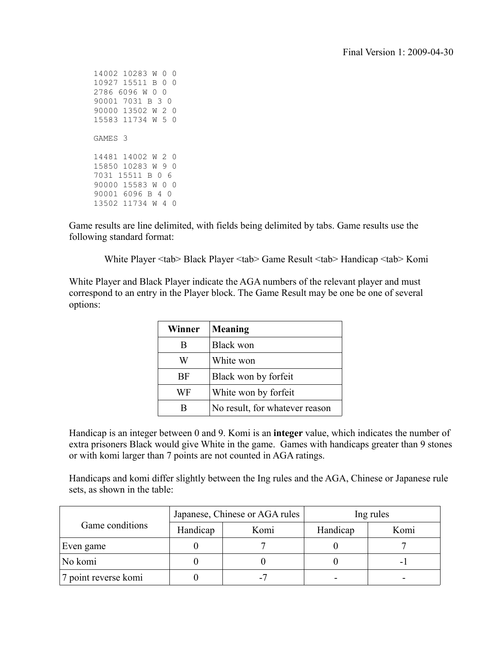Game results are line delimited, with fields being delimited by tabs. Game results use the following standard format:

White Player <tab> Black Player <tab> Game Result <tab> Handicap <tab> Komi

White Player and Black Player indicate the AGA numbers of the relevant player and must correspond to an entry in the Player block. The Game Result may be one be one of several options:

| Winner | Meaning                        |
|--------|--------------------------------|
| B      | <b>Black won</b>               |
| W      | White won                      |
| BF     | Black won by forfeit           |
| WF     | White won by forfeit           |
| В      | No result, for whatever reason |

Handicap is an integer between 0 and 9. Komi is an **integer** value, which indicates the number of extra prisoners Black would give White in the game. Games with handicaps greater than 9 stones or with komi larger than 7 points are not counted in AGA ratings.

Handicaps and komi differ slightly between the Ing rules and the AGA, Chinese or Japanese rule sets, as shown in the table:

|                      |          | Japanese, Chinese or AGA rules | Ing rules |      |  |
|----------------------|----------|--------------------------------|-----------|------|--|
| Game conditions      | Handicap | Komi                           | Handicap  | Komi |  |
| Even game            |          |                                |           |      |  |
| No komi              |          |                                |           |      |  |
| 7 point reverse komi |          |                                |           |      |  |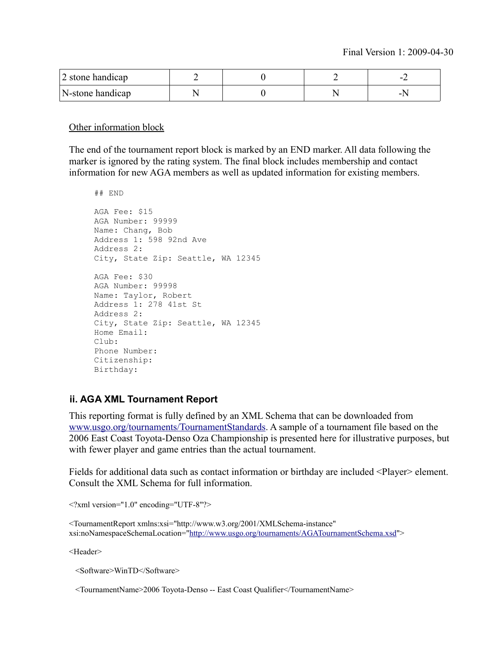| 2 stone handicap |  |  |
|------------------|--|--|
| N-stone handicap |  |  |

Other information block

The end of the tournament report block is marked by an END marker. All data following the marker is ignored by the rating system. The final block includes membership and contact information for new AGA members as well as updated information for existing members.

```
## END
AGA Fee: $15
AGA Number: 99999
Name: Chang, Bob
Address 1: 598 92nd Ave
Address 2: 
City, State Zip: Seattle, WA 12345
AGA Fee: $30
AGA Number: 99998
Name: Taylor, Robert
Address 1: 278 41st St
Address 2: 
City, State Zip: Seattle, WA 12345
Home Email: 
Club:
Phone Number:
Citizenship:
Birthday:
```
#### **ii. AGA XML Tournament Report**

This reporting format is fully defined by an XML Schema that can be downloaded from [www.usgo.org/tournaments/TournamentStandards.](http://www.usgo.org/tournaments/TournamentStandards) A sample of a tournament file based on the 2006 East Coast Toyota-Denso Oza Championship is presented here for illustrative purposes, but with fewer player and game entries than the actual tournament.

Fields for additional data such as contact information or birthday are included <Player> element. Consult the XML Schema for full information.

 $\langle$  \timession="1.0" encoding="UTF-8"?>

```
<TournamentReport xmlns:xsi="http://www.w3.org/2001/XMLSchema-instance"
xsi:noNamespaceSchemaLocation="http://www.usgo.org/tournaments/AGATournamentSchema.xsd">
```
<Header>

<Software>WinTD</Software>

<TournamentName>2006 Toyota-Denso -- East Coast Qualifier</TournamentName>